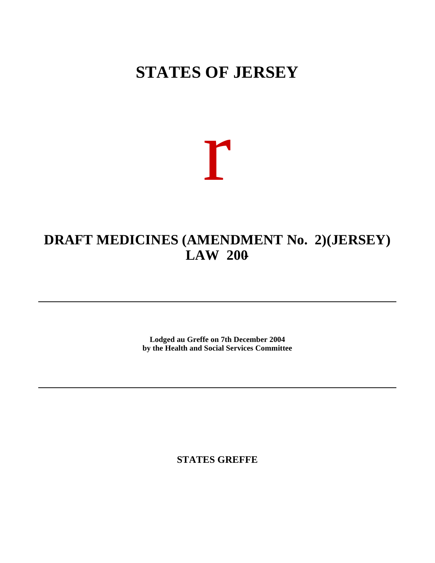# **STATES OF JERSEY**

r

# **DRAFT MEDICINES (AMENDMENT No. 2) (JERSEY) LAW 200-**

**Lodged au Greffe on 7th December 2004 by the Health and Social Services Committee**

**STATES GREFFE**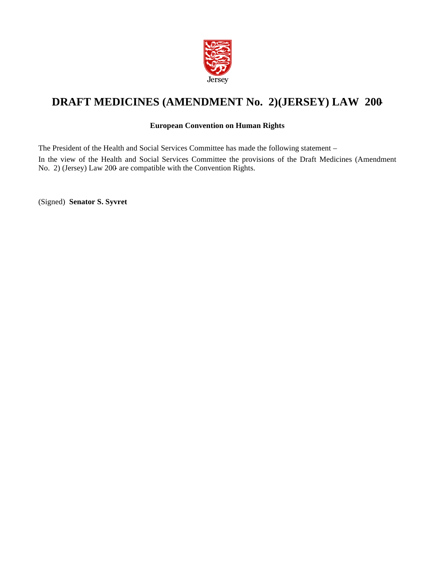

# **DRAFT MEDICINES (AMENDMENT No. 2) (JERSEY) LAW 200-**

### **European Convention on Human Rights**

The President of the Health and Social Services Committee has made the following statement –

In the view of the Health and Social Services Committee the provisions of the Draft Medicines (Amendment No. 2) (Jersey) Law 200- are compatible with the Convention Rights.

(Signed) **Senator S. Syvret**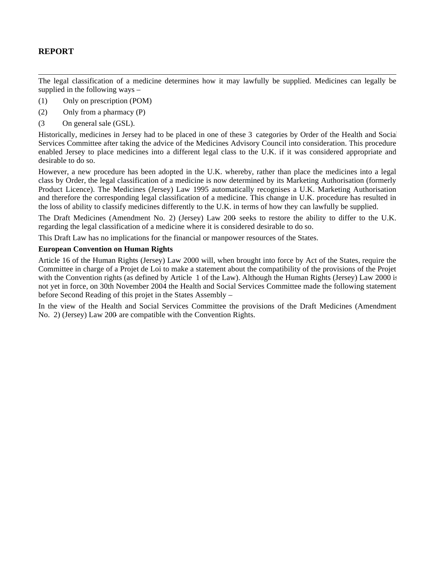## **REPORT**

The legal classification of a medicine determines how it may lawfully be supplied. Medicines can legally be supplied in the following ways –

- (1) Only on prescription (POM)
- (2) Only from a pharmacy (P)
- (3 On general sale (GSL).

Historically, medicines in Jersey had to be placed in one of these 3 categories by Order of the Health and Social Services Committee after taking the advice of the Medicines Advisory Council into consideration. This procedure enabled Jersey to place medicines into a different legal class to the U.K. if it was considered appropriate and desirable to do so.

However, a new procedure has been adopted in the U.K. whereby, rather than place the medicines into a legal class by Order, the legal classification of a medicine is now determined by its Marketing Authorisation (formerly Product Licence). The Medicines (Jersey) Law 1995 automatically recognises a U.K. Marketing Authorisation and therefore the corresponding legal classification of a medicine. This change in U.K. procedure has resulted in the loss of ability to classify medicines differently to the U.K. in terms of how they can lawfully be supplied.

The Draft Medicines (Amendment No. 2) (Jersey) Law 200- seeks to restore the ability to differ to the U.K. regarding the legal classification of a medicine where it is considered desirable to do so.

This Draft Law has no implications for the financial or manpower resources of the States.

#### **European Convention on Human Rights**

Article 16 of the Human Rights (Jersey) Law 2000 will, when brought into force by Act of the States, require the Committee in charge of a Projet de Loi to make a statement about the compatibility of the provisions of the Projet with the Convention rights (as defined by Article 1 of the Law). Although the Human Rights (Jersey) Law 2000 is not yet in force, on 30th November 2004 the Health and Social Services Committee made the following statement before Second Reading of this projet in the States Assembly –

In the view of the Health and Social Services Committee the provisions of the Draft Medicines (Amendment No. 2) (Jersey) Law 200- are compatible with the Convention Rights.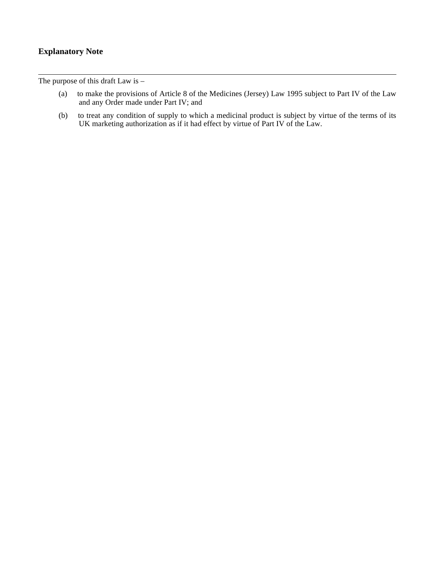## **Explanatory Note**

The purpose of this draft Law is –

- (a) to make the provisions of Article 8 of the Medicines (Jersey) Law 1995 subject to Part IV of the Law and any Order made under Part IV; and
- (b) to treat any condition of supply to which a medicinal product is subject by virtue of the terms of its UK marketing authorization as if it had effect by virtue of Part IV of the Law.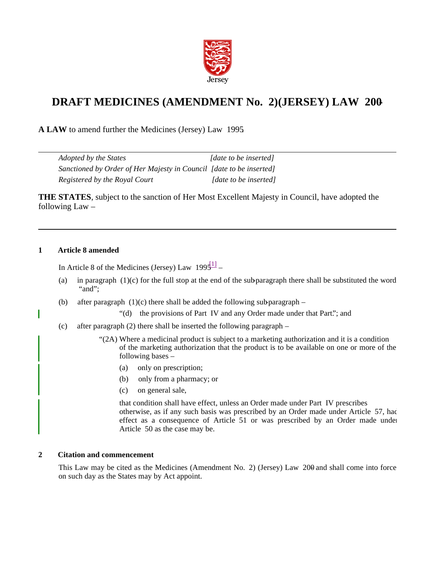

## **DRAFT MEDICINES (AMENDMENT No. 2) (JERSEY) LAW 200-**

**A LAW** to amend further the Medicines (Jersey) Law 1995.

| <i>Adopted by the States</i>                                        | [date to be inserted] |
|---------------------------------------------------------------------|-----------------------|
| Sanctioned by Order of Her Majesty in Council [date to be inserted] |                       |
| Registered by the Royal Court                                       | [date to be inserted] |

**THE STATES**, subject to the sanction of Her Most Excellent Majesty in Council, have adopted the following Law –

#### **1 Article 8 amended**

In Article 8 of the Medicines (Jersey) Law  $1995^{11}$ 

- (a) in paragraph  $(1)(c)$  for the full stop at the end of the sub-paragraph there shall be substituted the word "and";
- (b) after paragraph  $(1)(c)$  there shall be added the following sub-paragraph
	- "(d) the provisions of Part IV and any Order made under that Part."; and
- (c) after paragraph (2) there shall be inserted the following paragraph
	- "(2A) Where a medicinal product is subject to a marketing authorization and it is a condition of the marketing authorization that the product is to be available on one or more of the following bases –
		- (a) only on prescription;
		- (b) only from a pharmacy; or
		- (c) on general sale,

that condition shall have effect, unless an Order made under Part IV prescribes otherwise, as if any such basis was prescribed by an Order made under Article 57, had effect as a consequence of Article 51 or was prescribed by an Order made under Article 50 as the case may be.

#### **2 Citation and commencement**

This Law may be cited as the Medicines (Amendment No. 2) (Jersey) Law 200- and shall come into force on such day as the States may by Act appoint.